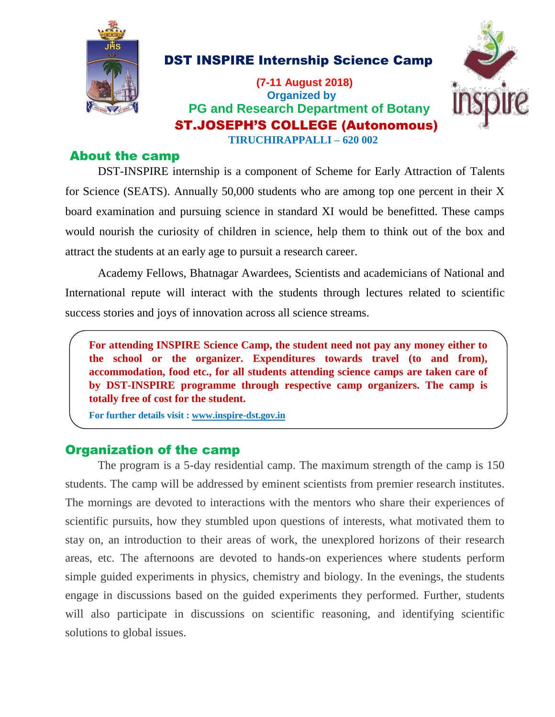

DST INSPIRE Internship Science Camp

 **(7-11 August 2018) Organized by PG and Research Department of Botany**  ST.JOSEPH'S COLLEGE (Autonomous) **TIRUCHIRAPPALLI – 620 002**



## About the camp

DST-INSPIRE internship is a component of Scheme for Early Attraction of Talents for Science (SEATS). Annually 50,000 students who are among top one percent in their X board examination and pursuing science in standard XI would be benefitted. These camps would nourish the curiosity of children in science, help them to think out of the box and attract the students at an early age to pursuit a research career.

Academy Fellows, Bhatnagar Awardees, Scientists and academicians of National and International repute will interact with the students through lectures related to scientific success stories and joys of innovation across all science streams.

**For attending INSPIRE Science Camp, the student need not pay any money either to the school or the organizer. Expenditures towards travel (to and from), accommodation, food etc., for all students attending science camps are taken care of by DST-INSPIRE programme through respective camp organizers. The camp is totally free of cost for the student.**

**For further details visit [: www.inspire-dst.gov.in](http://www.inspire-dst.gov.in/)**

## Organization of the camp

The program is a 5-day residential camp. The maximum strength of the camp is 150 students. The camp will be addressed by eminent scientists from premier research institutes. The mornings are devoted to interactions with the mentors who share their experiences of scientific pursuits, how they stumbled upon questions of interests, what motivated them to stay on, an introduction to their areas of work, the unexplored horizons of their research areas, etc. The afternoons are devoted to hands-on experiences where students perform simple guided experiments in physics, chemistry and biology. In the evenings, the students engage in discussions based on the guided experiments they performed. Further, students will also participate in discussions on scientific reasoning, and identifying scientific solutions to global issues.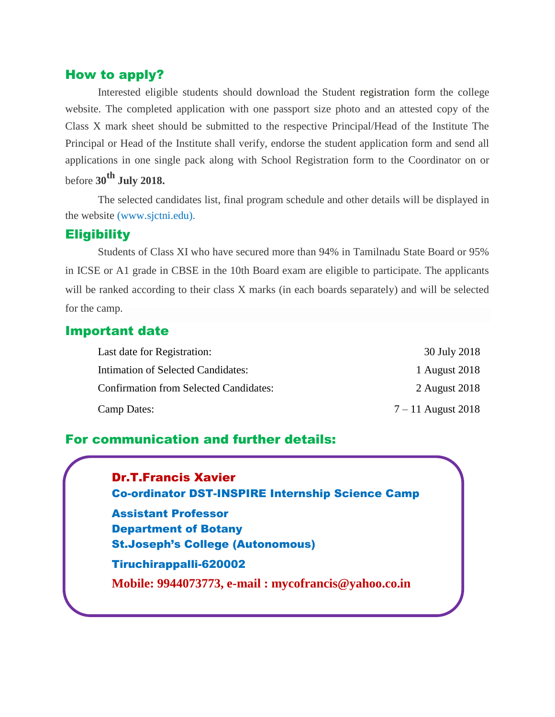## How to apply?

Interested eligible students should download the Student registration form the college website. The completed application with one passport size photo and an attested copy of the Class X mark sheet should be submitted to the respective Principal/Head of the Institute The Principal or Head of the Institute shall verify, endorse the student application form and send all applications in one single pack along with School Registration form to the Coordinator on or before **30th July 2018.**

The selected candidates list, final program schedule and other details will be displayed in the website (www.sjctni.edu).

### **Eligibility**

Students of Class XI who have secured more than 94% in Tamilnadu State Board or 95% in ICSE or A1 grade in CBSE in the 10th Board exam are eligible to participate. The applicants will be ranked according to their class X marks (in each boards separately) and will be selected for the camp.

## Important date

| Last date for Registration:                   | 30 July 2018         |
|-----------------------------------------------|----------------------|
| Intimation of Selected Candidates:            | 1 August 2018        |
| <b>Confirmation from Selected Candidates:</b> | 2 August 2018        |
| Camp Dates:                                   | $7 - 11$ August 2018 |

## For communication and further details:

Dr.T.Francis Xavier Co-ordinator DST-INSPIRE Internship Science Camp

Assistant Professor Department of Botany St.Joseph's College (Autonomous) Tiruchirappalli-620002 **Mobile: 9944073773, e-mail : mycofrancis@yahoo.co.in**